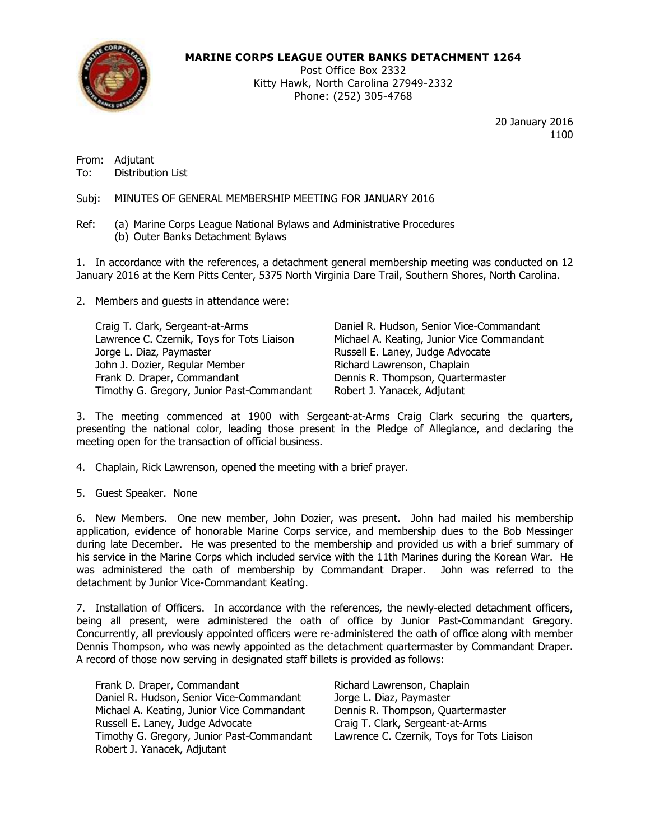

# **MARINE CORPS LEAGUE OUTER BANKS DETACHMENT 1264**

Post Office Box 2332 Kitty Hawk, North Carolina 27949-2332 Phone: (252) 305-4768

> 20 January 2016 1100

From: Adjutant To: Distribution List

Subj: MINUTES OF GENERAL MEMBERSHIP MEETING FOR JANUARY 2016

Ref: (a) Marine Corps League National Bylaws and Administrative Procedures (b) Outer Banks Detachment Bylaws

1. In accordance with the references, a detachment general membership meeting was conducted on 12 January 2016 at the Kern Pitts Center, 5375 North Virginia Dare Trail, Southern Shores, North Carolina.

2. Members and guests in attendance were:

Craig T. Clark, Sergeant-at-Arms Daniel R. Hudson, Senior Vice-Commandant Lawrence C. Czernik, Toys for Tots Liaison Michael A. Keating, Junior Vice Commandant Jorge L. Diaz, Paymaster Russell E. Laney, Judge Advocate John J. Dozier, Regular Member Richard Lawrenson, Chaplain Frank D. Draper, Commandant **Dennis R. Thompson, Quartermaster** Timothy G. Gregory, Junior Past-Commandant Robert J. Yanacek, Adjutant

3. The meeting commenced at 1900 with Sergeant-at-Arms Craig Clark securing the quarters, presenting the national color, leading those present in the Pledge of Allegiance, and declaring the meeting open for the transaction of official business.

- 4. Chaplain, Rick Lawrenson, opened the meeting with a brief prayer.
- 5. Guest Speaker. None

6. New Members. One new member, John Dozier, was present. John had mailed his membership application, evidence of honorable Marine Corps service, and membership dues to the Bob Messinger during late December. He was presented to the membership and provided us with a brief summary of his service in the Marine Corps which included service with the 11th Marines during the Korean War. He was administered the oath of membership by Commandant Draper. John was referred to the detachment by Junior Vice-Commandant Keating.

7. Installation of Officers. In accordance with the references, the newly-elected detachment officers, being all present, were administered the oath of office by Junior Past-Commandant Gregory. Concurrently, all previously appointed officers were re-administered the oath of office along with member Dennis Thompson, who was newly appointed as the detachment quartermaster by Commandant Draper. A record of those now serving in designated staff billets is provided as follows:

Frank D. Draper, Commandant The Richard Lawrenson, Chaplain Daniel R. Hudson, Senior Vice-Commandant Jorge L. Diaz, Paymaster Michael A. Keating, Junior Vice Commandant Dennis R. Thompson, Quartermaster Russell E. Laney, Judge Advocate Craig T. Clark, Sergeant-at-Arms<br>Timothy G. Gregory, Junior Past-Commandant Lawrence C. Czernik, Toys for Tots Liaison Timothy G. Gregory, Junior Past-Commandant Robert J. Yanacek, Adjutant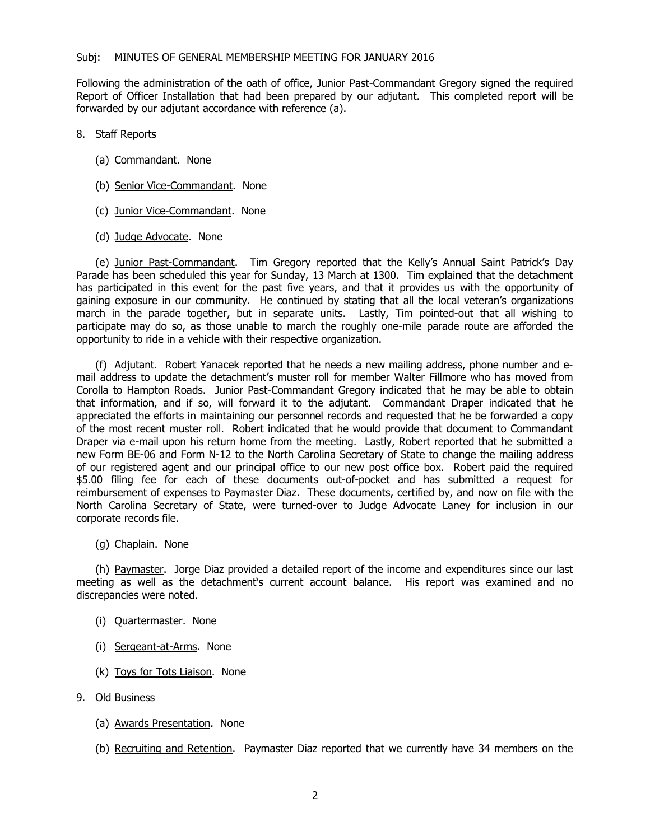Following the administration of the oath of office, Junior Past-Commandant Gregory signed the required Report of Officer Installation that had been prepared by our adjutant. This completed report will be forwarded by our adjutant accordance with reference (a).

- 8. Staff Reports
	- (a) Commandant. None
	- (b) Senior Vice-Commandant. None
	- (c) Junior Vice-Commandant. None
	- (d) Judge Advocate. None

(e) Junior Past-Commandant. Tim Gregory reported that the Kelly's Annual Saint Patrick's Day Parade has been scheduled this year for Sunday, 13 March at 1300. Tim explained that the detachment has participated in this event for the past five years, and that it provides us with the opportunity of gaining exposure in our community. He continued by stating that all the local veteran's organizations march in the parade together, but in separate units. Lastly, Tim pointed-out that all wishing to participate may do so, as those unable to march the roughly one-mile parade route are afforded the opportunity to ride in a vehicle with their respective organization.

(f) Adjutant. Robert Yanacek reported that he needs a new mailing address, phone number and email address to update the detachment's muster roll for member Walter Fillmore who has moved from Corolla to Hampton Roads. Junior Past-Commandant Gregory indicated that he may be able to obtain that information, and if so, will forward it to the adjutant. Commandant Draper indicated that he appreciated the efforts in maintaining our personnel records and requested that he be forwarded a copy of the most recent muster roll. Robert indicated that he would provide that document to Commandant Draper via e-mail upon his return home from the meeting. Lastly, Robert reported that he submitted a new Form BE-06 and Form N-12 to the North Carolina Secretary of State to change the mailing address of our registered agent and our principal office to our new post office box. Robert paid the required \$5.00 filing fee for each of these documents out-of-pocket and has submitted a request for reimbursement of expenses to Paymaster Diaz. These documents, certified by, and now on file with the North Carolina Secretary of State, were turned-over to Judge Advocate Laney for inclusion in our corporate records file.

(g) Chaplain. None

(h) Paymaster. Jorge Diaz provided a detailed report of the income and expenditures since our last meeting as well as the detachment's current account balance. His report was examined and no discrepancies were noted.

- (i) Quartermaster. None
- (i) Sergeant-at-Arms. None
- (k) Toys for Tots Liaison. None
- 9. Old Business
	- (a) Awards Presentation. None
	- (b) Recruiting and Retention. Paymaster Diaz reported that we currently have 34 members on the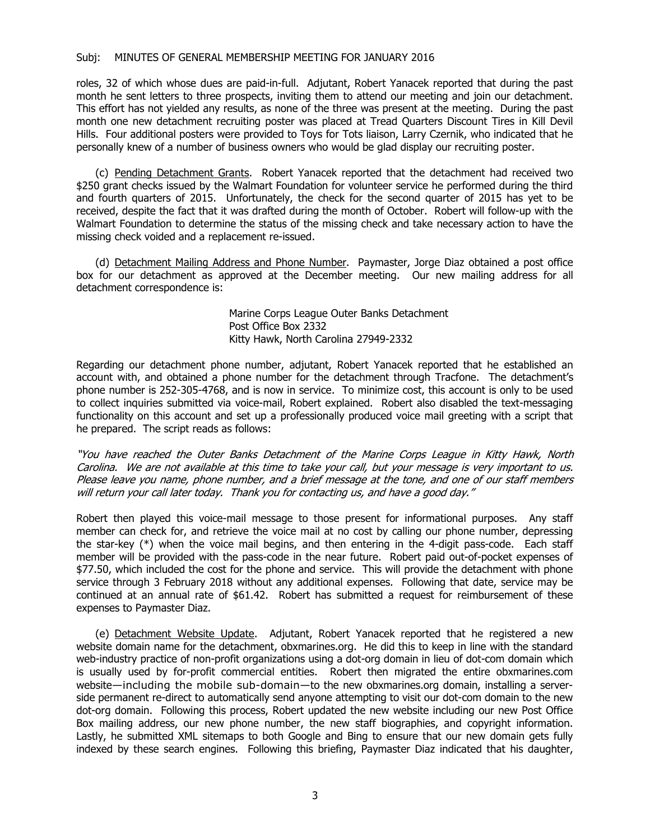### Subj: MINUTES OF GENERAL MEMBERSHIP MEETING FOR JANUARY 2016

roles, 32 of which whose dues are paid-in-full. Adjutant, Robert Yanacek reported that during the past month he sent letters to three prospects, inviting them to attend our meeting and join our detachment. This effort has not yielded any results, as none of the three was present at the meeting. During the past month one new detachment recruiting poster was placed at Tread Quarters Discount Tires in Kill Devil Hills. Four additional posters were provided to Toys for Tots liaison, Larry Czernik, who indicated that he personally knew of a number of business owners who would be glad display our recruiting poster.

(c) Pending Detachment Grants. Robert Yanacek reported that the detachment had received two \$250 grant checks issued by the Walmart Foundation for volunteer service he performed during the third and fourth quarters of 2015. Unfortunately, the check for the second quarter of 2015 has yet to be received, despite the fact that it was drafted during the month of October. Robert will follow-up with the Walmart Foundation to determine the status of the missing check and take necessary action to have the missing check voided and a replacement re-issued.

(d) Detachment Mailing Address and Phone Number. Paymaster, Jorge Diaz obtained a post office box for our detachment as approved at the December meeting. Our new mailing address for all detachment correspondence is:

> Marine Corps League Outer Banks Detachment Post Office Box 2332 Kitty Hawk, North Carolina 27949-2332

Regarding our detachment phone number, adjutant, Robert Yanacek reported that he established an account with, and obtained a phone number for the detachment through Tracfone. The detachment's phone number is 252-305-4768, and is now in service. To minimize cost, this account is only to be used to collect inquiries submitted via voice-mail, Robert explained. Robert also disabled the text-messaging functionality on this account and set up a professionally produced voice mail greeting with a script that he prepared. The script reads as follows:

"You have reached the Outer Banks Detachment of the Marine Corps League in Kitty Hawk, North Carolina. We are not available at this time to take your call, but your message is very important to us. Please leave you name, phone number, and <sup>a</sup> brief message at the tone, and one of our staff members will return your call later today. Thank you for contacting us, and have <sup>a</sup> good day."

Robert then played this voice-mail message to those present for informational purposes. Any staff member can check for, and retrieve the voice mail at no cost by calling our phone number, depressing the star-key (\*) when the voice mail begins, and then entering in the 4-digit pass-code. Each staff member will be provided with the pass-code in the near future. Robert paid out-of-pocket expenses of \$77.50, which included the cost for the phone and service. This will provide the detachment with phone service through 3 February 2018 without any additional expenses. Following that date, service may be continued at an annual rate of \$61.42. Robert has submitted a request for reimbursement of these expenses to Paymaster Diaz.

(e) Detachment Website Update. Adjutant, Robert Yanacek reported that he registered a new website domain name for the detachment, obxmarines.org. He did this to keep in line with the standard web-industry practice of non-profit organizations using a dot-org domain in lieu of dot-com domain which is usually used by for-profit commercial entities. Robert then migrated the entire obxmarines.com website—including the mobile sub-domain—to the new obxmarines.org domain, installing a serverside permanent re-direct to automatically send anyone attempting to visit our dot-com domain to the new dot-org domain. Following this process, Robert updated the new website including our new Post Office Box mailing address, our new phone number, the new staff biographies, and copyright information. Lastly, he submitted XML sitemaps to both Google and Bing to ensure that our new domain gets fully indexed by these search engines. Following this briefing, Paymaster Diaz indicated that his daughter,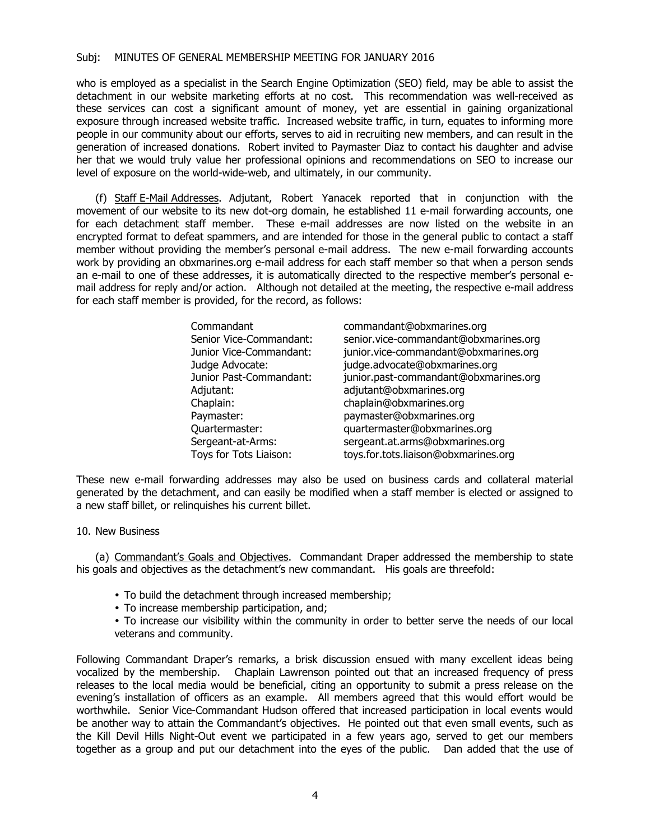## Subj: MINUTES OF GENERAL MEMBERSHIP MEETING FOR JANUARY 2016

who is employed as a specialist in the Search Engine Optimization (SEO) field, may be able to assist the detachment in our website marketing efforts at no cost. This recommendation was well-received as these services can cost a significant amount of money, yet are essential in gaining organizational exposure through increased website traffic. Increased website traffic, in turn, equates to informing more people in our community about our efforts, serves to aid in recruiting new members, and can result in the generation of increased donations. Robert invited to Paymaster Diaz to contact his daughter and advise her that we would truly value her professional opinions and recommendations on SEO to increase our level of exposure on the world-wide-web, and ultimately, in our community.

(f) Staff E-Mail Addresses. Adjutant, Robert Yanacek reported that in conjunction with the movement of our website to its new dot-org domain, he established 11 e-mail forwarding accounts, one for each detachment staff member. These e-mail addresses are now listed on the website in an encrypted format to defeat spammers, and are intended for those in the general public to contact a staff member without providing the member's personal e-mail address. The new e-mail forwarding accounts work by providing an obxmarines.org e-mail address for each staff member so that when a person sends an e-mail to one of these addresses, it is automatically directed to the respective member's personal email address for reply and/or action. Although not detailed at the meeting, the respective e-mail address for each staff member is provided, for the record, as follows:

| Commandant              | commandant@obxmarines.org             |
|-------------------------|---------------------------------------|
| Senior Vice-Commandant: | senior.vice-commandant@obxmarines.org |
| Junior Vice-Commandant: | junior.vice-commandant@obxmarines.org |
| Judge Advocate:         | judge.advocate@obxmarines.org         |
| Junior Past-Commandant: | junior.past-commandant@obxmarines.org |
| Adjutant:               | adjutant@obxmarines.org               |
| Chaplain:               | chaplain@obxmarines.org               |
| Paymaster:              | paymaster@obxmarines.org              |
| Quartermaster:          | quartermaster@obxmarines.org          |
| Sergeant-at-Arms:       | sergeant.at.arms@obxmarines.org       |
| Toys for Tots Liaison:  | toys.for.tots.liaison@obxmarines.org  |

These new e-mail forwarding addresses may also be used on business cards and collateral material generated by the detachment, and can easily be modified when a staff member is elected or assigned to a new staff billet, or relinquishes his current billet.

#### 10. New Business

(a) Commandant's Goals and Objectives. Commandant Draper addressed the membership to state his goals and objectives as the detachment's new commandant. His goals are threefold:

- To build the detachment through increased membership;
- To increase membership participation, and;
- To increase our visibility within the community in order to better serve the needs of our local veterans and community.

Following Commandant Draper's remarks, a brisk discussion ensued with many excellent ideas being vocalized by the membership. Chaplain Lawrenson pointed out that an increased frequency of press releases to the local media would be beneficial, citing an opportunity to submit a press release on the evening's installation of officers as an example. All members agreed that this would effort would be worthwhile. Senior Vice-Commandant Hudson offered that increased participation in local events would be another way to attain the Commandant's objectives. He pointed out that even small events, such as the Kill Devil Hills Night-Out event we participated in a few years ago, served to get our members together as a group and put our detachment into the eyes of the public. Dan added that the use of